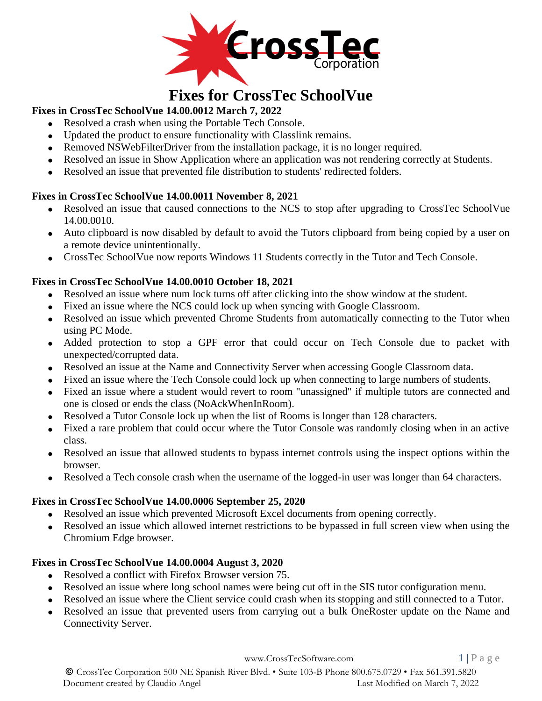

# **Fixes for CrossTec SchoolVue**

## **Fixes in CrossTec SchoolVue 14.00.0012 March 7, 2022**

- Resolved a crash when using the Portable Tech Console.
- Updated the product to ensure functionality with Classlink remains.
- Removed NSWebFilterDriver from the installation package, it is no longer required.
- Resolved an issue in Show Application where an application was not rendering correctly at Students.
- Resolved an issue that prevented file distribution to students' redirected folders.

#### **Fixes in CrossTec SchoolVue 14.00.0011 November 8, 2021**

- Resolved an issue that caused connections to the NCS to stop after upgrading to CrossTec SchoolVue 14.00.0010.
- Auto clipboard is now disabled by default to avoid the Tutors clipboard from being copied by a user on a remote device unintentionally.
- CrossTec SchoolVue now reports Windows 11 Students correctly in the Tutor and Tech Console.

## **Fixes in CrossTec SchoolVue 14.00.0010 October 18, 2021**

- Resolved an issue where num lock turns off after clicking into the show window at the student.
- Fixed an issue where the NCS could lock up when syncing with Google Classroom.
- Resolved an issue which prevented Chrome Students from automatically connecting to the Tutor when using PC Mode.
- Added protection to stop a GPF error that could occur on Tech Console due to packet with unexpected/corrupted data.
- Resolved an issue at the Name and Connectivity Server when accessing Google Classroom data.
- Fixed an issue where the Tech Console could lock up when connecting to large numbers of students.
- Fixed an issue where a student would revert to room "unassigned" if multiple tutors are connected and one is closed or ends the class (NoAckWhenInRoom).
- Resolved a Tutor Console lock up when the list of Rooms is longer than 128 characters.
- Fixed a rare problem that could occur where the Tutor Console was randomly closing when in an active class.
- Resolved an issue that allowed students to bypass internet controls using the inspect options within the browser.
- Resolved a Tech console crash when the username of the logged-in user was longer than 64 characters.

## **Fixes in CrossTec SchoolVue 14.00.0006 September 25, 2020**

- Resolved an issue which prevented Microsoft Excel documents from opening correctly.
- Resolved an issue which allowed internet restrictions to be bypassed in full screen view when using the Chromium Edge browser.

## **Fixes in CrossTec SchoolVue 14.00.0004 August 3, 2020**

- Resolved a conflict with Firefox Browser version 75.
- Resolved an issue where long school names were being cut off in the SIS tutor configuration menu.
- Resolved an issue where the Client service could crash when its stopping and still connected to a Tutor.
- Resolved an issue that prevented users from carrying out a bulk OneRoster update on the Name and Connectivity Server.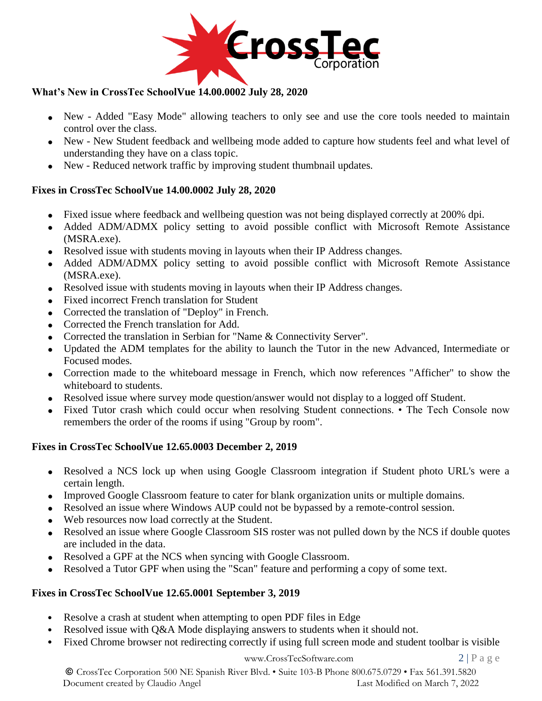

## **What's New in CrossTec SchoolVue 14.00.0002 July 28, 2020**

- New Added "Easy Mode" allowing teachers to only see and use the core tools needed to maintain control over the class.
- New New Student feedback and wellbeing mode added to capture how students feel and what level of understanding they have on a class topic.
- New Reduced network traffic by improving student thumbnail updates.

#### **Fixes in CrossTec SchoolVue 14.00.0002 July 28, 2020**

- Fixed issue where feedback and wellbeing question was not being displayed correctly at 200% dpi.
- Added ADM/ADMX policy setting to avoid possible conflict with Microsoft Remote Assistance (MSRA.exe).
- Resolved issue with students moving in layouts when their IP Address changes.
- Added ADM/ADMX policy setting to avoid possible conflict with Microsoft Remote Assistance (MSRA.exe).
- Resolved issue with students moving in layouts when their IP Address changes.
- Fixed incorrect French translation for Student
- Corrected the translation of "Deploy" in French.
- Corrected the French translation for Add.
- Corrected the translation in Serbian for "Name & Connectivity Server".
- Updated the ADM templates for the ability to launch the Tutor in the new Advanced, Intermediate or Focused modes.
- Correction made to the whiteboard message in French, which now references "Afficher" to show the whiteboard to students.
- Resolved issue where survey mode question/answer would not display to a logged off Student.
- Fixed Tutor crash which could occur when resolving Student connections. The Tech Console now remembers the order of the rooms if using "Group by room".

#### **Fixes in CrossTec SchoolVue 12.65.0003 December 2, 2019**

- Resolved a NCS lock up when using Google Classroom integration if Student photo URL's were a certain length.
- Improved Google Classroom feature to cater for blank organization units or multiple domains.
- Resolved an issue where Windows AUP could not be bypassed by a remote-control session.
- Web resources now load correctly at the Student.
- Resolved an issue where Google Classroom SIS roster was not pulled down by the NCS if double quotes are included in the data.
- Resolved a GPF at the NCS when syncing with Google Classroom.
- Resolved a Tutor GPF when using the "Scan" feature and performing a copy of some text.

#### **Fixes in CrossTec SchoolVue 12.65.0001 September 3, 2019**

- Resolve a crash at student when attempting to open PDF files in Edge
- Resolved issue with  $Q&A$  Mode displaying answers to students when it should not.
- Fixed Chrome browser not redirecting correctly if using full screen mode and student toolbar is visible

#### [www.CrossTecSoftware.com](http://www.crosstecsoftware.com/) 2 | P a g e

© CrossTec Corporation 500 NE Spanish River Blvd. • Suite 103-B Phone 800.675.0729 • Fax 561.391.5820 Document created by Claudio Angel Last Modified on March 7, 2022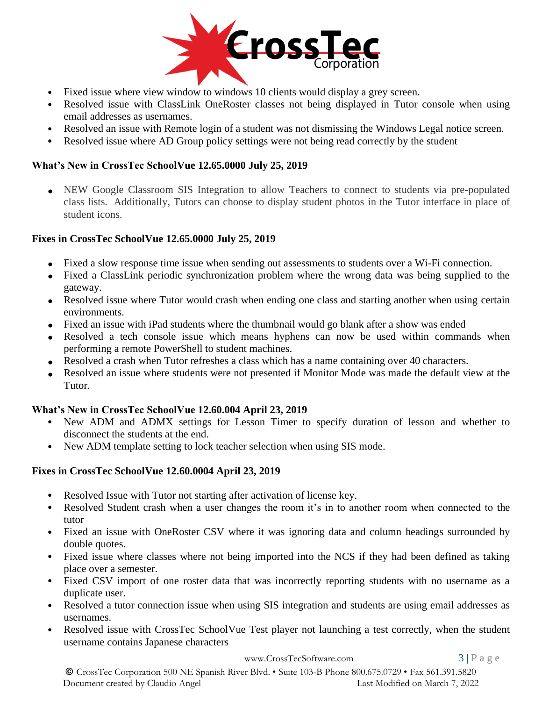

- Fixed issue where view window to windows 10 clients would display a grey screen.
- Resolved issue with ClassLink OneRoster classes not being displayed in Tutor console when using email addresses as usernames.
- Resolved an issue with Remote login of a student was not dismissing the Windows Legal notice screen.
- Resolved issue where AD Group policy settings were not being read correctly by the student

#### **What's New in CrossTec SchoolVue 12.65.0000 July 25, 2019**

• NEW Google Classroom SIS Integration to allow Teachers to connect to students via pre-populated class lists. Additionally, Tutors can choose to display student photos in the Tutor interface in place of student icons.

#### **Fixes in CrossTec SchoolVue 12.65.0000 July 25, 2019**

- Fixed a slow response time issue when sending out assessments to students over a Wi-Fi connection.
- Fixed a ClassLink periodic synchronization problem where the wrong data was being supplied to the gateway.
- Resolved issue where Tutor would crash when ending one class and starting another when using certain environments.
- Fixed an issue with iPad students where the thumbnail would go blank after a show was ended
- Resolved a tech console issue which means hyphens can now be used within commands when performing a remote PowerShell to student machines.
- Resolved a crash when Tutor refreshes a class which has a name containing over 40 characters.
- Resolved an issue where students were not presented if Monitor Mode was made the default view at the Tutor.

#### **What's New in CrossTec SchoolVue 12.60.004 April 23, 2019**

- New ADM and ADMX settings for Lesson Timer to specify duration of lesson and whether to disconnect the students at the end.
- New ADM template setting to lock teacher selection when using SIS mode.

#### **Fixes in CrossTec SchoolVue 12.60.0004 April 23, 2019**

- Resolved Issue with Tutor not starting after activation of license key.
- Resolved Student crash when a user changes the room it's in to another room when connected to the tutor
- Fixed an issue with OneRoster CSV where it was ignoring data and column headings surrounded by double quotes.
- Fixed issue where classes where not being imported into the NCS if they had been defined as taking place over a semester.
- Fixed CSV import of one roster data that was incorrectly reporting students with no username as a duplicate user.
- Resolved a tutor connection issue when using SIS integration and students are using email addresses as usernames.
- Resolved issue with CrossTec SchoolVue Test player not launching a test correctly, when the student username contains Japanese characters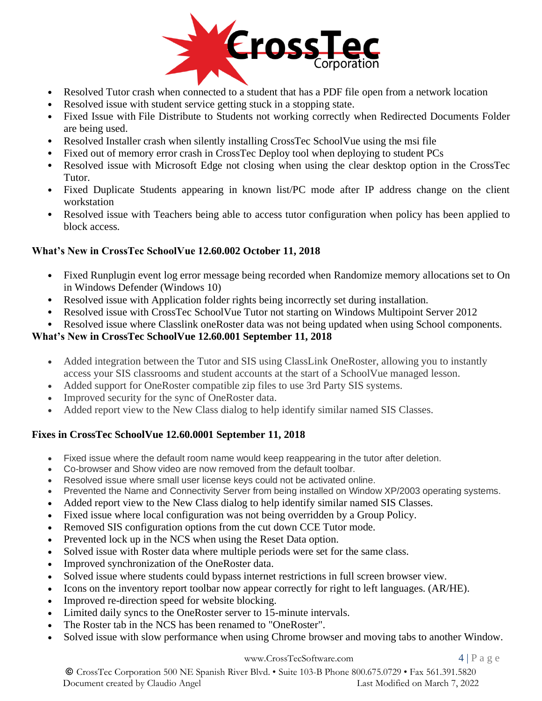

- Resolved Tutor crash when connected to a student that has a PDF file open from a network location
- Resolved issue with student service getting stuck in a stopping state.
- Fixed Issue with File Distribute to Students not working correctly when Redirected Documents Folder are being used.
- Resolved Installer crash when silently installing CrossTec SchoolVue using the msi file
- Fixed out of memory error crash in CrossTec Deploy tool when deploying to student PCs
- Resolved issue with Microsoft Edge not closing when using the clear desktop option in the CrossTec Tutor.
- Fixed Duplicate Students appearing in known list/PC mode after IP address change on the client workstation
- Resolved issue with Teachers being able to access tutor configuration when policy has been applied to block access.

#### **What's New in CrossTec SchoolVue 12.60.002 October 11, 2018**

- Fixed Runplugin event log error message being recorded when Randomize memory allocations set to On in Windows Defender (Windows 10)
- Resolved issue with Application folder rights being incorrectly set during installation.
- Resolved issue with CrossTec SchoolVue Tutor not starting on Windows Multipoint Server 2012
- Resolved issue where Classlink oneRoster data was not being updated when using School components.

#### **What's New in CrossTec SchoolVue 12.60.001 September 11, 2018**

- Added integration between the Tutor and SIS using ClassLink OneRoster, allowing you to instantly access your SIS classrooms and student accounts at the start of a SchoolVue managed lesson.
- Added support for OneRoster compatible zip files to use 3rd Party SIS systems.
- Improved security for the sync of OneRoster data.
- Added report view to the New Class dialog to help identify similar named SIS Classes.

#### **Fixes in CrossTec SchoolVue 12.60.0001 September 11, 2018**

- Fixed issue where the default room name would keep reappearing in the tutor after deletion.
- Co-browser and Show video are now removed from the default toolbar.
- Resolved issue where small user license keys could not be activated online.
- Prevented the Name and Connectivity Server from being installed on Window XP/2003 operating systems.
- Added report view to the New Class dialog to help identify similar named SIS Classes.
- Fixed issue where local configuration was not being overridden by a Group Policy.
- Removed SIS configuration options from the cut down CCE Tutor mode.
- Prevented lock up in the NCS when using the Reset Data option.
- Solved issue with Roster data where multiple periods were set for the same class.
- Improved synchronization of the OneRoster data.
- Solved issue where students could bypass internet restrictions in full screen browser view.
- Icons on the inventory report toolbar now appear correctly for right to left languages. (AR/HE).
- Improved re-direction speed for website blocking.
- Limited daily syncs to the OneRoster server to 15-minute intervals.
- The Roster tab in the NCS has been renamed to "OneRoster".
- Solved issue with slow performance when using Chrome browser and moving tabs to another Window.

#### [www.CrossTecSoftware.com](http://www.crosstecsoftware.com/) 4 | P a g e

© CrossTec Corporation 500 NE Spanish River Blvd. • Suite 103-B Phone 800.675.0729 • Fax 561.391.5820 Document created by Claudio Angel Last Modified on March 7, 2022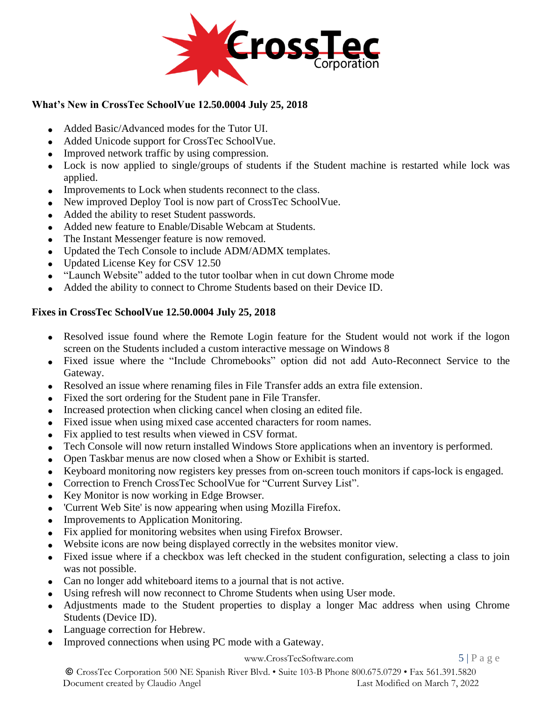

## **What's New in CrossTec SchoolVue 12.50.0004 July 25, 2018**

- Added Basic/Advanced modes for the Tutor UI.
- Added Unicode support for CrossTec SchoolVue.
- Improved network traffic by using compression.
- Lock is now applied to single/groups of students if the Student machine is restarted while lock was applied.
- Improvements to Lock when students reconnect to the class.
- New improved Deploy Tool is now part of CrossTec SchoolVue.
- Added the ability to reset Student passwords.
- Added new feature to Enable/Disable Webcam at Students.
- The Instant Messenger feature is now removed.
- Updated the Tech Console to include ADM/ADMX templates.
- Updated License Key for CSV 12.50
- "Launch Website" added to the tutor toolbar when in cut down Chrome mode
- Added the ability to connect to Chrome Students based on their Device ID.

## **Fixes in CrossTec SchoolVue 12.50.0004 July 25, 2018**

- Resolved issue found where the Remote Login feature for the Student would not work if the logon screen on the Students included a custom interactive message on Windows 8
- Fixed issue where the "Include Chromebooks" option did not add Auto-Reconnect Service to the Gateway.
- Resolved an issue where renaming files in File Transfer adds an extra file extension.
- Fixed the sort ordering for the Student pane in File Transfer.
- Increased protection when clicking cancel when closing an edited file.
- Fixed issue when using mixed case accented characters for room names.
- Fix applied to test results when viewed in CSV format.
- Tech Console will now return installed Windows Store applications when an inventory is performed.
- Open Taskbar menus are now closed when a Show or Exhibit is started.
- Keyboard monitoring now registers key presses from on-screen touch monitors if caps-lock is engaged.
- Correction to French CrossTec SchoolVue for "Current Survey List".
- Key Monitor is now working in Edge Browser.
- 'Current Web Site' is now appearing when using Mozilla Firefox.
- Improvements to Application Monitoring.
- Fix applied for monitoring websites when using Firefox Browser.
- Website icons are now being displayed correctly in the websites monitor view.
- Fixed issue where if a checkbox was left checked in the student configuration, selecting a class to join was not possible.
- Can no longer add whiteboard items to a journal that is not active.
- Using refresh will now reconnect to Chrome Students when using User mode.
- Adjustments made to the Student properties to display a longer Mac address when using Chrome Students (Device ID).
- Language correction for Hebrew.
- Improved connections when using PC mode with a Gateway.

#### [www.CrossTecSoftware.com](http://www.crosstecsoftware.com/) 5 | P a g e

© CrossTec Corporation 500 NE Spanish River Blvd. • Suite 103-B Phone 800.675.0729 • Fax 561.391.5820 Document created by Claudio Angel Last Modified on March 7, 2022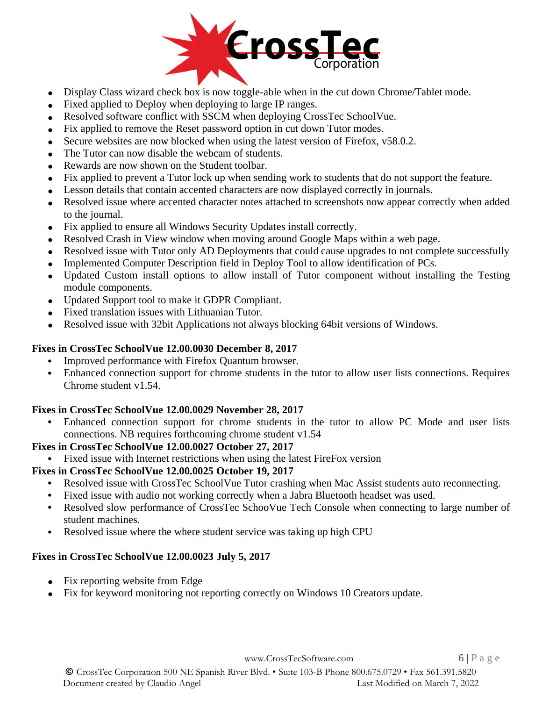

- Display Class wizard check box is now toggle-able when in the cut down Chrome/Tablet mode.
- Fixed applied to Deploy when deploying to large IP ranges.
- Resolved software conflict with SSCM when deploying CrossTec SchoolVue.
- Fix applied to remove the Reset password option in cut down Tutor modes.
- Secure websites are now blocked when using the latest version of Firefox,  $v$ 58.0.2.
- The Tutor can now disable the webcam of students.
- Rewards are now shown on the Student toolbar.
- Fix applied to prevent a Tutor lock up when sending work to students that do not support the feature.
- Lesson details that contain accented characters are now displayed correctly in journals.
- Resolved issue where accented character notes attached to screenshots now appear correctly when added to the journal.
- Fix applied to ensure all Windows Security Updates install correctly.
- Resolved Crash in View window when moving around Google Maps within a web page.
- Resolved issue with Tutor only AD Deployments that could cause upgrades to not complete successfully
- Implemented Computer Description field in Deploy Tool to allow identification of PCs.
- Updated Custom install options to allow install of Tutor component without installing the Testing module components.
- Updated Support tool to make it GDPR Compliant.
- Fixed translation issues with Lithuanian Tutor.
- Resolved issue with 32bit Applications not always blocking 64bit versions of Windows.

#### **Fixes in CrossTec SchoolVue 12.00.0030 December 8, 2017**

- **•** Improved performance with Firefox Quantum browser.
- Enhanced connection support for chrome students in the tutor to allow user lists connections. Requires Chrome student v1.54.

## **Fixes in CrossTec SchoolVue 12.00.0029 November 28, 2017**

**•** Enhanced connection support for chrome students in the tutor to allow PC Mode and user lists connections. NB requires forthcoming chrome student v1.54

#### **Fixes in CrossTec SchoolVue 12.00.0027 October 27, 2017**

**•** Fixed issue with Internet restrictions when using the latest FireFox version

## **Fixes in CrossTec SchoolVue 12.00.0025 October 19, 2017**

- **•** Resolved issue with CrossTec SchoolVue Tutor crashing when Mac Assist students auto reconnecting.
- **•** Fixed issue with audio not working correctly when a Jabra Bluetooth headset was used.
- **•** Resolved slow performance of CrossTec SchooVue Tech Console when connecting to large number of student machines.
- **•** Resolved issue where the where student service was taking up high CPU

#### **Fixes in CrossTec SchoolVue 12.00.0023 July 5, 2017**

- Fix reporting website from Edge
- Fix for keyword monitoring not reporting correctly on Windows 10 Creators update.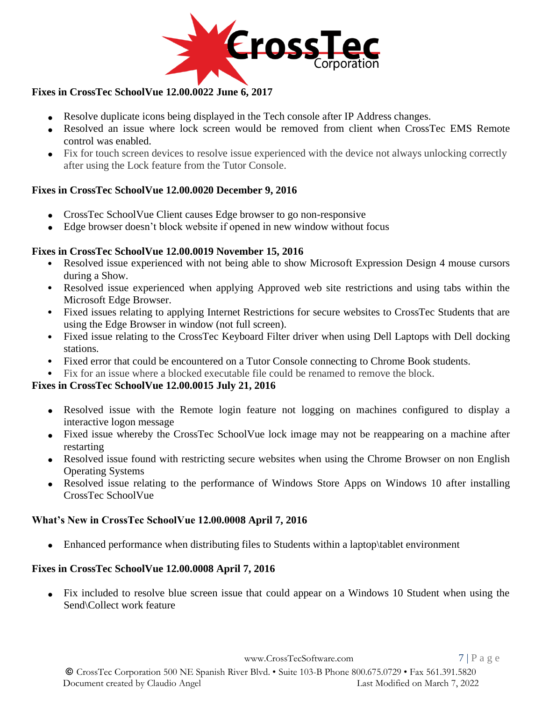

## **Fixes in CrossTec SchoolVue 12.00.0022 June 6, 2017**

- Resolve duplicate icons being displayed in the Tech console after IP Address changes.
- Resolved an issue where lock screen would be removed from client when CrossTec EMS Remote control was enabled.
- Fix for touch screen devices to resolve issue experienced with the device not always unlocking correctly after using the Lock feature from the Tutor Console.

## **Fixes in CrossTec SchoolVue 12.00.0020 December 9, 2016**

- CrossTec SchoolVue Client causes Edge browser to go non-responsive
- Edge browser doesn't block website if opened in new window without focus

#### **Fixes in CrossTec SchoolVue 12.00.0019 November 15, 2016**

- Resolved issue experienced with not being able to show Microsoft Expression Design 4 mouse cursors during a Show.
- Resolved issue experienced when applying Approved web site restrictions and using tabs within the Microsoft Edge Browser.
- Fixed issues relating to applying Internet Restrictions for secure websites to CrossTec Students that are using the Edge Browser in window (not full screen).
- Fixed issue relating to the CrossTec Keyboard Filter driver when using Dell Laptops with Dell docking stations.
- Fixed error that could be encountered on a Tutor Console connecting to Chrome Book students.
- Fix for an issue where a blocked executable file could be renamed to remove the block.

#### **Fixes in CrossTec SchoolVue 12.00.0015 July 21, 2016**

- Resolved issue with the Remote login feature not logging on machines configured to display a interactive logon message
- Fixed issue whereby the CrossTec SchoolVue lock image may not be reappearing on a machine after restarting
- Resolved issue found with restricting secure websites when using the Chrome Browser on non English Operating Systems
- Resolved issue relating to the performance of Windows Store Apps on Windows 10 after installing CrossTec SchoolVue

#### **What's New in CrossTec SchoolVue 12.00.0008 April 7, 2016**

Enhanced performance when distributing files to Students within a laptop \tablet environment

#### **Fixes in CrossTec SchoolVue 12.00.0008 April 7, 2016**

• Fix included to resolve blue screen issue that could appear on a Windows 10 Student when using the Send\Collect work feature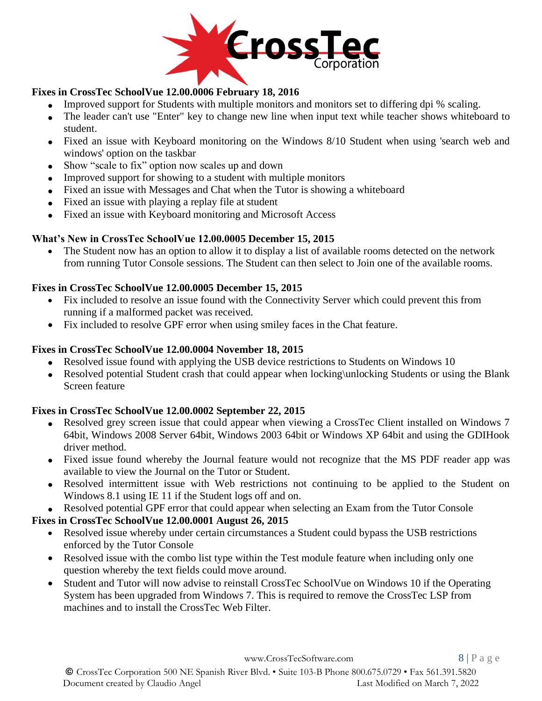

## **Fixes in CrossTec SchoolVue 12.00.0006 February 18, 2016**

- Improved support for Students with multiple monitors and monitors set to differing dpi % scaling.
- The leader can't use "Enter" key to change new line when input text while teacher shows whiteboard to student.
- Fixed an issue with Keyboard monitoring on the Windows 8/10 Student when using 'search web and windows' option on the taskbar
- Show "scale to fix" option now scales up and down
- Improved support for showing to a student with multiple monitors
- Fixed an issue with Messages and Chat when the Tutor is showing a whiteboard
- Fixed an issue with playing a replay file at student
- Fixed an issue with Keyboard monitoring and Microsoft Access

## **What's New in CrossTec SchoolVue 12.00.0005 December 15, 2015**

The Student now has an option to allow it to display a list of available rooms detected on the network from running Tutor Console sessions. The Student can then select to Join one of the available rooms.

## **Fixes in CrossTec SchoolVue 12.00.0005 December 15, 2015**

- Fix included to resolve an issue found with the Connectivity Server which could prevent this from running if a malformed packet was received.
- Fix included to resolve GPF error when using smiley faces in the Chat feature.

## **Fixes in CrossTec SchoolVue 12.00.0004 November 18, 2015**

- Resolved issue found with applying the USB device restrictions to Students on Windows 10
- Resolved potential Student crash that could appear when locking\unlocking Students or using the Blank Screen feature

## **Fixes in CrossTec SchoolVue 12.00.0002 September 22, 2015**

- Resolved grey screen issue that could appear when viewing a CrossTec Client installed on Windows 7 64bit, Windows 2008 Server 64bit, Windows 2003 64bit or Windows XP 64bit and using the GDIHook driver method.
- Fixed issue found whereby the Journal feature would not recognize that the MS PDF reader app was available to view the Journal on the Tutor or Student.
- Resolved intermittent issue with Web restrictions not continuing to be applied to the Student on Windows 8.1 using IE 11 if the Student logs off and on.
- Resolved potential GPF error that could appear when selecting an Exam from the Tutor Console

## **Fixes in CrossTec SchoolVue 12.00.0001 August 26, 2015**

- Resolved issue whereby under certain circumstances a Student could bypass the USB restrictions enforced by the Tutor Console
- Resolved issue with the combo list type within the Test module feature when including only one question whereby the text fields could move around.
- Student and Tutor will now advise to reinstall CrossTec SchoolVue on Windows 10 if the Operating System has been upgraded from Windows 7. This is required to remove the CrossTec LSP from machines and to install the CrossTec Web Filter.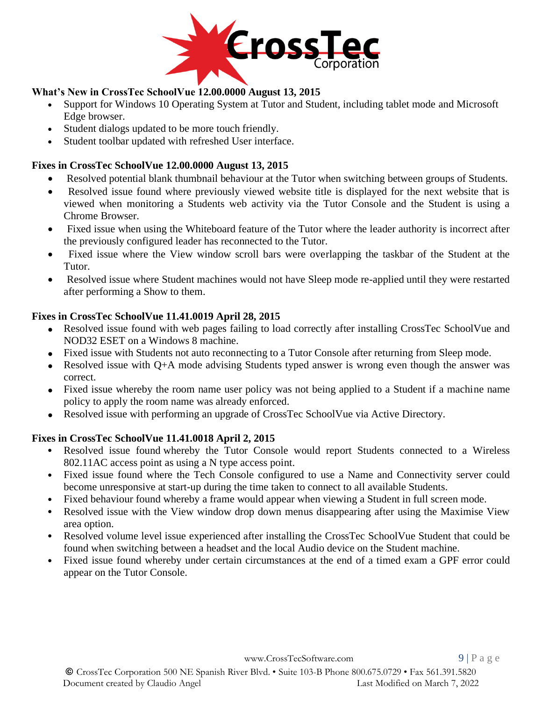

## **What's New in CrossTec SchoolVue 12.00.0000 August 13, 2015**

- Support for Windows 10 Operating System at Tutor and Student, including tablet mode and Microsoft Edge browser.
- Student dialogs updated to be more touch friendly.
- Student toolbar updated with refreshed User interface.

#### **Fixes in CrossTec SchoolVue 12.00.0000 August 13, 2015**

- Resolved potential blank thumbnail behaviour at the Tutor when switching between groups of Students.
- Resolved issue found where previously viewed website title is displayed for the next website that is viewed when monitoring a Students web activity via the Tutor Console and the Student is using a Chrome Browser.
- Fixed issue when using the Whiteboard feature of the Tutor where the leader authority is incorrect after the previously configured leader has reconnected to the Tutor.
- Fixed issue where the View window scroll bars were overlapping the taskbar of the Student at the Tutor.
- Resolved issue where Student machines would not have Sleep mode re-applied until they were restarted after performing a Show to them.

#### **Fixes in CrossTec SchoolVue 11.41.0019 April 28, 2015**

- Resolved issue found with web pages failing to load correctly after installing CrossTec SchoolVue and NOD32 ESET on a Windows 8 machine.
- Fixed issue with Students not auto reconnecting to a Tutor Console after returning from Sleep mode.
- Resolved issue with Q+A mode advising Students typed answer is wrong even though the answer was correct.
- Fixed issue whereby the room name user policy was not being applied to a Student if a machine name policy to apply the room name was already enforced.
- Resolved issue with performing an upgrade of CrossTec SchoolVue via Active Directory.

## **Fixes in CrossTec SchoolVue 11.41.0018 April 2, 2015**

- Resolved issue found whereby the Tutor Console would report Students connected to a Wireless 802.11AC access point as using a N type access point.
- Fixed issue found where the Tech Console configured to use a Name and Connectivity server could become unresponsive at start-up during the time taken to connect to all available Students.
- Fixed behaviour found whereby a frame would appear when viewing a Student in full screen mode.
- Resolved issue with the View window drop down menus disappearing after using the Maximise View area option.
- Resolved volume level issue experienced after installing the CrossTec SchoolVue Student that could be found when switching between a headset and the local Audio device on the Student machine.
- Fixed issue found whereby under certain circumstances at the end of a timed exam a GPF error could appear on the Tutor Console.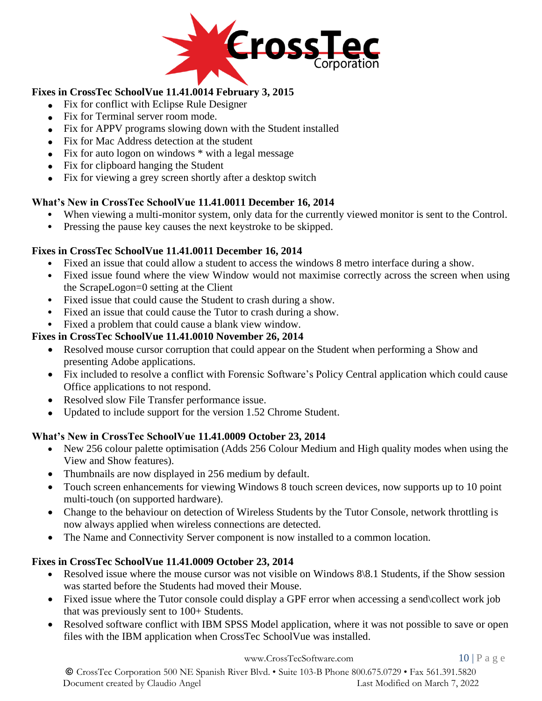

## **Fixes in CrossTec SchoolVue 11.41.0014 February 3, 2015**

- Fix for conflict with Eclipse Rule Designer
- Fix for Terminal server room mode.
- Fix for APPV programs slowing down with the Student installed
- Fix for Mac Address detection at the student
- Fix for auto logon on windows  $*$  with a legal message
- Fix for clipboard hanging the Student
- Fix for viewing a grey screen shortly after a desktop switch

## **What's New in CrossTec SchoolVue 11.41.0011 December 16, 2014**

- When viewing a multi-monitor system, only data for the currently viewed monitor is sent to the Control.
- Pressing the pause key causes the next keystroke to be skipped.

## **Fixes in CrossTec SchoolVue 11.41.0011 December 16, 2014**

- Fixed an issue that could allow a student to access the windows 8 metro interface during a show.
- Fixed issue found where the view Window would not maximise correctly across the screen when using the ScrapeLogon=0 setting at the Client
- Fixed issue that could cause the Student to crash during a show.
- Fixed an issue that could cause the Tutor to crash during a show.

# • Fixed a problem that could cause a blank view window.

# **Fixes in CrossTec SchoolVue 11.41.0010 November 26, 2014**

- Resolved mouse cursor corruption that could appear on the Student when performing a Show and presenting Adobe applications.
- Fix included to resolve a conflict with Forensic Software's Policy Central application which could cause Office applications to not respond.
- Resolved slow File Transfer performance issue.
- Updated to include support for the version 1.52 Chrome Student.

## **What's New in CrossTec SchoolVue 11.41.0009 October 23, 2014**

- New 256 colour palette optimisation (Adds 256 Colour Medium and High quality modes when using the View and Show features).
- Thumbnails are now displayed in 256 medium by default.
- Touch screen enhancements for viewing Windows 8 touch screen devices, now supports up to 10 point multi-touch (on supported hardware).
- Change to the behaviour on detection of Wireless Students by the Tutor Console, network throttling is now always applied when wireless connections are detected.
- The Name and Connectivity Server component is now installed to a common location.

## **Fixes in CrossTec SchoolVue 11.41.0009 October 23, 2014**

- Resolved issue where the mouse cursor was not visible on Windows 8\8.1 Students, if the Show session was started before the Students had moved their Mouse.
- Fixed issue where the Tutor console could display a GPF error when accessing a send\collect work job that was previously sent to 100+ Students.
- Resolved software conflict with IBM SPSS Model application, where it was not possible to save or open files with the IBM application when CrossTec SchoolVue was installed.

[www.CrossTecSoftware.com](http://www.crosstecsoftware.com/) 10 | P a g e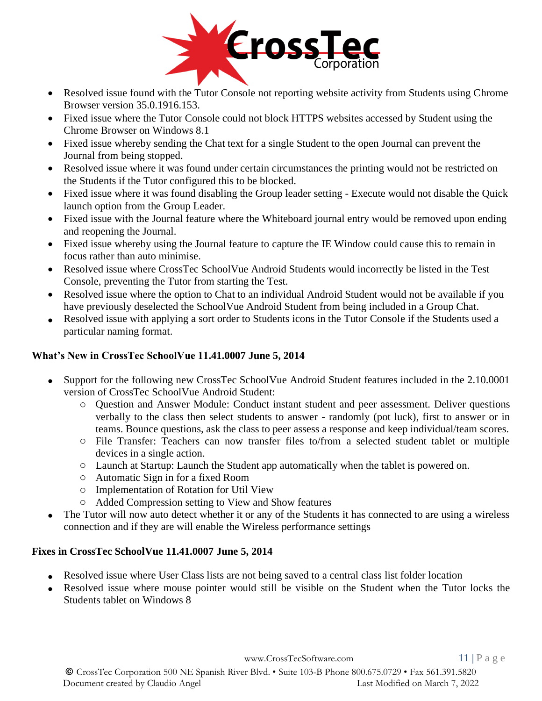

- Resolved issue found with the Tutor Console not reporting website activity from Students using Chrome Browser version 35.0.1916.153.
- Fixed issue where the Tutor Console could not block HTTPS websites accessed by Student using the Chrome Browser on Windows 8.1
- Fixed issue whereby sending the Chat text for a single Student to the open Journal can prevent the Journal from being stopped.
- Resolved issue where it was found under certain circumstances the printing would not be restricted on the Students if the Tutor configured this to be blocked.
- Fixed issue where it was found disabling the Group leader setting Execute would not disable the Quick launch option from the Group Leader.
- Fixed issue with the Journal feature where the Whiteboard journal entry would be removed upon ending and reopening the Journal.
- Fixed issue whereby using the Journal feature to capture the IE Window could cause this to remain in focus rather than auto minimise.
- Resolved issue where CrossTec SchoolVue Android Students would incorrectly be listed in the Test Console, preventing the Tutor from starting the Test.
- Resolved issue where the option to Chat to an individual Android Student would not be available if you have previously deselected the SchoolVue Android Student from being included in a Group Chat.
- Resolved issue with applying a sort order to Students icons in the Tutor Console if the Students used a particular naming format.

## **What's New in CrossTec SchoolVue 11.41.0007 June 5, 2014**

- Support for the following new CrossTec SchoolVue Android Student features included in the 2.10.0001 version of CrossTec SchoolVue Android Student:
	- o Question and Answer Module: Conduct instant student and peer assessment. Deliver questions verbally to the class then select students to answer - randomly (pot luck), first to answer or in teams. Bounce questions, ask the class to peer assess a response and keep individual/team scores.
	- o File Transfer: Teachers can now transfer files to/from a selected student tablet or multiple devices in a single action.
	- o Launch at Startup: Launch the Student app automatically when the tablet is powered on.
	- o Automatic Sign in for a fixed Room
	- o Implementation of Rotation for Util View
	- o Added Compression setting to View and Show features
- The Tutor will now auto detect whether it or any of the Students it has connected to are using a wireless connection and if they are will enable the Wireless performance settings

#### **Fixes in CrossTec SchoolVue 11.41.0007 June 5, 2014**

- Resolved issue where User Class lists are not being saved to a central class list folder location
- Resolved issue where mouse pointer would still be visible on the Student when the Tutor locks the Students tablet on Windows 8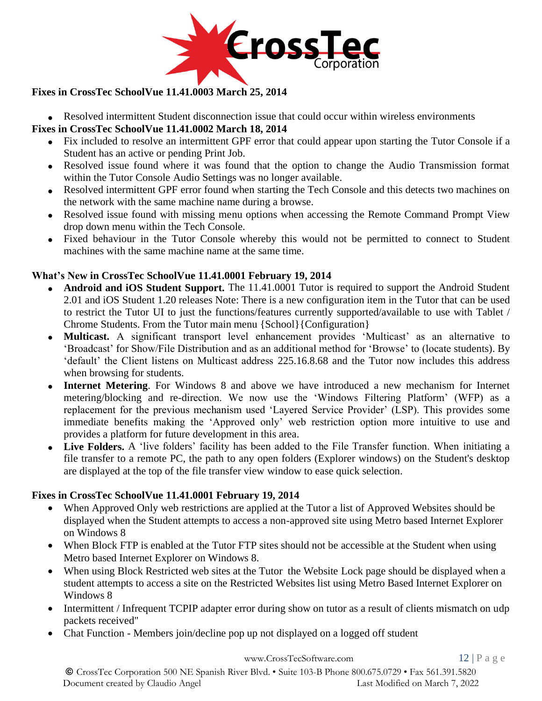

## **Fixes in CrossTec SchoolVue 11.41.0003 March 25, 2014**

• Resolved intermittent Student disconnection issue that could occur within wireless environments

## **Fixes in CrossTec SchoolVue 11.41.0002 March 18, 2014**

- Fix included to resolve an intermittent GPF error that could appear upon starting the Tutor Console if a Student has an active or pending Print Job.
- Resolved issue found where it was found that the option to change the Audio Transmission format within the Tutor Console Audio Settings was no longer available.
- Resolved intermittent GPF error found when starting the Tech Console and this detects two machines on the network with the same machine name during a browse.
- Resolved issue found with missing menu options when accessing the Remote Command Prompt View drop down menu within the Tech Console.
- Fixed behaviour in the Tutor Console whereby this would not be permitted to connect to Student machines with the same machine name at the same time.

#### **What's New in CrossTec SchoolVue 11.41.0001 February 19, 2014**

- **Android and iOS Student Support.** The 11.41.0001 Tutor is required to support the Android Student 2.01 and iOS Student 1.20 releases Note: There is a new configuration item in the Tutor that can be used to restrict the Tutor UI to just the functions/features currently supported/available to use with Tablet / Chrome Students. From the Tutor main menu {School}{Configuration}
- **Multicast.** A significant transport level enhancement provides 'Multicast' as an alternative to 'Broadcast' for Show/File Distribution and as an additional method for 'Browse' to (locate students). By 'default' the Client listens on Multicast address 225.16.8.68 and the Tutor now includes this address when browsing for students.
- **Internet Metering**. For Windows 8 and above we have introduced a new mechanism for Internet metering/blocking and re-direction. We now use the 'Windows Filtering Platform' (WFP) as a replacement for the previous mechanism used 'Layered Service Provider' (LSP). This provides some immediate benefits making the 'Approved only' web restriction option more intuitive to use and provides a platform for future development in this area.
- **Live Folders.** A 'live folders' facility has been added to the File Transfer function. When initiating a file transfer to a remote PC, the path to any open folders (Explorer windows) on the Student's desktop are displayed at the top of the file transfer view window to ease quick selection.

#### **Fixes in CrossTec SchoolVue 11.41.0001 February 19, 2014**

- When Approved Only web restrictions are applied at the Tutor a list of Approved Websites should be displayed when the Student attempts to access a non-approved site using Metro based Internet Explorer on Windows 8
- When Block FTP is enabled at the Tutor FTP sites should not be accessible at the Student when using Metro based Internet Explorer on Windows 8.
- When using Block Restricted web sites at the Tutor the Website Lock page should be displayed when a student attempts to access a site on the Restricted Websites list using Metro Based Internet Explorer on Windows 8
- Intermittent / Infrequent TCPIP adapter error during show on tutor as a result of clients mismatch on udp packets received"
- Chat Function Members join/decline pop up not displayed on a logged off student

[www.CrossTecSoftware.com](http://www.crosstecsoftware.com/) 12 | P a g e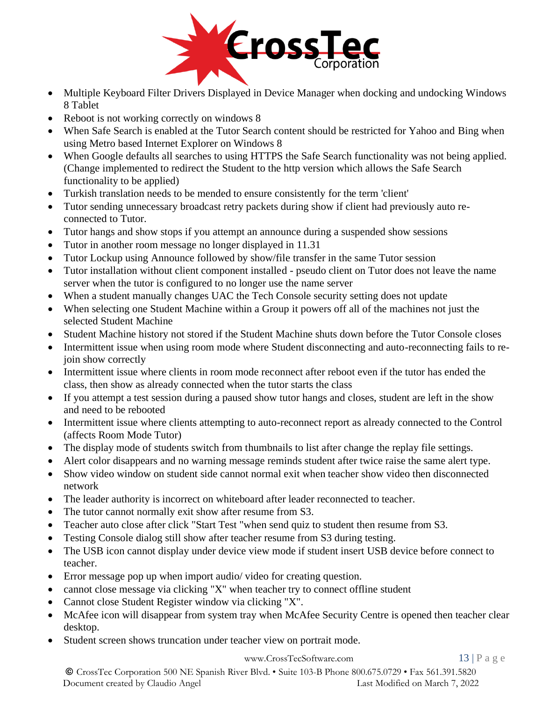

- Multiple Keyboard Filter Drivers Displayed in Device Manager when docking and undocking Windows 8 Tablet
- Reboot is not working correctly on windows 8
- When Safe Search is enabled at the Tutor Search content should be restricted for Yahoo and Bing when using Metro based Internet Explorer on Windows 8
- When Google defaults all searches to using HTTPS the Safe Search functionality was not being applied. (Change implemented to redirect the Student to the http version which allows the Safe Search functionality to be applied)
- Turkish translation needs to be mended to ensure consistently for the term 'client'
- Tutor sending unnecessary broadcast retry packets during show if client had previously auto reconnected to Tutor.
- Tutor hangs and show stops if you attempt an announce during a suspended show sessions
- Tutor in another room message no longer displayed in 11.31
- Tutor Lockup using Announce followed by show/file transfer in the same Tutor session
- Tutor installation without client component installed pseudo client on Tutor does not leave the name server when the tutor is configured to no longer use the name server
- When a student manually changes UAC the Tech Console security setting does not update
- When selecting one Student Machine within a Group it powers off all of the machines not just the selected Student Machine
- Student Machine history not stored if the Student Machine shuts down before the Tutor Console closes
- Intermittent issue when using room mode where Student disconnecting and auto-reconnecting fails to rejoin show correctly
- Intermittent issue where clients in room mode reconnect after reboot even if the tutor has ended the class, then show as already connected when the tutor starts the class
- If you attempt a test session during a paused show tutor hangs and closes, student are left in the show and need to be rebooted
- Intermittent issue where clients attempting to auto-reconnect report as already connected to the Control (affects Room Mode Tutor)
- The display mode of students switch from thumbnails to list after change the replay file settings.
- Alert color disappears and no warning message reminds student after twice raise the same alert type.
- Show video window on student side cannot normal exit when teacher show video then disconnected network
- The leader authority is incorrect on whiteboard after leader reconnected to teacher.
- The tutor cannot normally exit show after resume from S3.
- Teacher auto close after click "Start Test "when send quiz to student then resume from S3.
- Testing Console dialog still show after teacher resume from S3 during testing.
- The USB icon cannot display under device view mode if student insert USB device before connect to teacher.
- Error message pop up when import audio/ video for creating question.
- cannot close message via clicking "X" when teacher try to connect offline student
- Cannot close Student Register window via clicking "X".
- McAfee icon will disappear from system tray when McAfee Security Centre is opened then teacher clear desktop.
- Student screen shows truncation under teacher view on portrait mode.

#### [www.CrossTecSoftware.com](http://www.crosstecsoftware.com/) 13 | P a g e

© CrossTec Corporation 500 NE Spanish River Blvd. • Suite 103-B Phone 800.675.0729 • Fax 561.391.5820 Document created by Claudio Angel Last Modified on March 7, 2022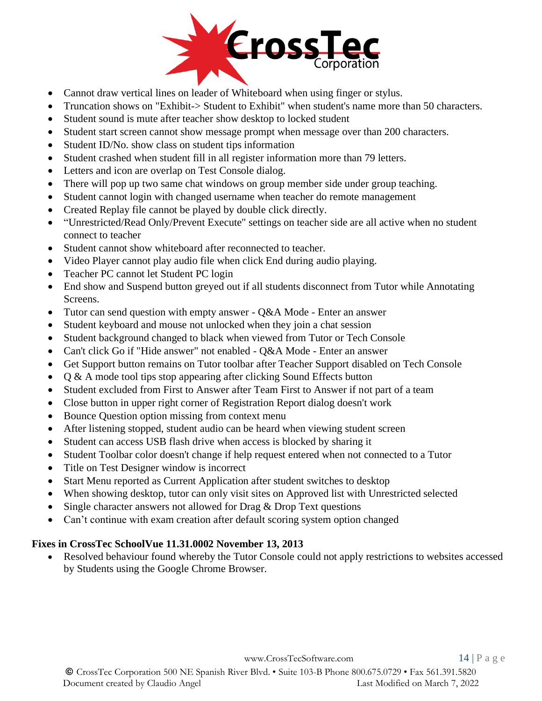

- Cannot draw vertical lines on leader of Whiteboard when using finger or stylus.
- Truncation shows on "Exhibit-> Student to Exhibit" when student's name more than 50 characters.
- Student sound is mute after teacher show desktop to locked student
- Student start screen cannot show message prompt when message over than 200 characters.
- Student ID/No. show class on student tips information
- Student crashed when student fill in all register information more than 79 letters.
- Letters and icon are overlap on Test Console dialog.
- There will pop up two same chat windows on group member side under group teaching.
- Student cannot login with changed username when teacher do remote management
- Created Replay file cannot be played by double click directly.
- "Unrestricted/Read Only/Prevent Execute" settings on teacher side are all active when no student connect to teacher
- Student cannot show whiteboard after reconnected to teacher.
- Video Player cannot play audio file when click End during audio playing.
- Teacher PC cannot let Student PC login
- End show and Suspend button greyed out if all students disconnect from Tutor while Annotating Screens.
- Tutor can send question with empty answer O&A Mode Enter an answer
- Student keyboard and mouse not unlocked when they join a chat session
- Student background changed to black when viewed from Tutor or Tech Console
- Can't click Go if "Hide answer" not enabled Q&A Mode Enter an answer
- Get Support button remains on Tutor toolbar after Teacher Support disabled on Tech Console
- Q & A mode tool tips stop appearing after clicking Sound Effects button
- Student excluded from First to Answer after Team First to Answer if not part of a team
- Close button in upper right corner of Registration Report dialog doesn't work
- Bounce Question option missing from context menu
- After listening stopped, student audio can be heard when viewing student screen
- Student can access USB flash drive when access is blocked by sharing it
- Student Toolbar color doesn't change if help request entered when not connected to a Tutor
- Title on Test Designer window is incorrect
- Start Menu reported as Current Application after student switches to desktop
- When showing desktop, tutor can only visit sites on Approved list with Unrestricted selected
- Single character answers not allowed for Drag  $&$  Drop Text questions
- Can't continue with exam creation after default scoring system option changed

#### **Fixes in CrossTec SchoolVue 11.31.0002 November 13, 2013**

• Resolved behaviour found whereby the Tutor Console could not apply restrictions to websites accessed by Students using the Google Chrome Browser.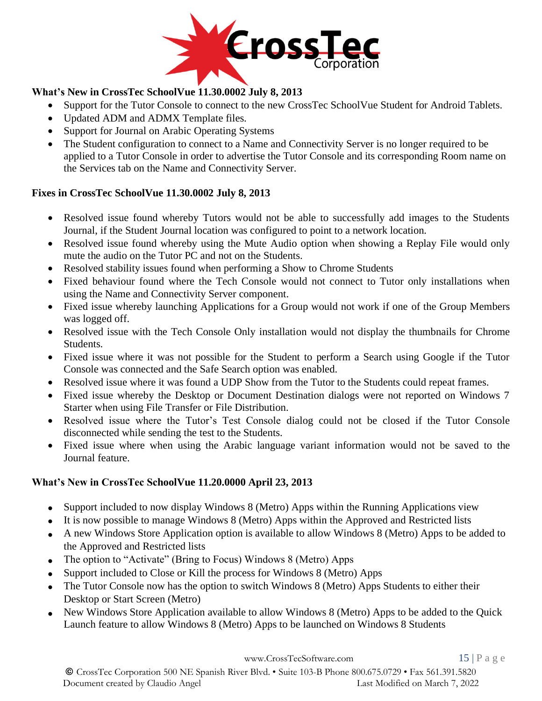

# **What's New in CrossTec SchoolVue 11.30.0002 July 8, 2013**

- Support for the Tutor Console to connect to the new CrossTec SchoolVue Student for Android Tablets.
- Updated ADM and ADMX Template files.
- Support for Journal on Arabic Operating Systems
- The Student configuration to connect to a Name and Connectivity Server is no longer required to be applied to a Tutor Console in order to advertise the Tutor Console and its corresponding Room name on the Services tab on the Name and Connectivity Server.

#### **Fixes in CrossTec SchoolVue 11.30.0002 July 8, 2013**

- Resolved issue found whereby Tutors would not be able to successfully add images to the Students Journal, if the Student Journal location was configured to point to a network location.
- Resolved issue found whereby using the Mute Audio option when showing a Replay File would only mute the audio on the Tutor PC and not on the Students.
- Resolved stability issues found when performing a Show to Chrome Students
- Fixed behaviour found where the Tech Console would not connect to Tutor only installations when using the Name and Connectivity Server component.
- Fixed issue whereby launching Applications for a Group would not work if one of the Group Members was logged off.
- Resolved issue with the Tech Console Only installation would not display the thumbnails for Chrome Students.
- Fixed issue where it was not possible for the Student to perform a Search using Google if the Tutor Console was connected and the Safe Search option was enabled.
- Resolved issue where it was found a UDP Show from the Tutor to the Students could repeat frames.
- Fixed issue whereby the Desktop or Document Destination dialogs were not reported on Windows 7 Starter when using File Transfer or File Distribution.
- Resolved issue where the Tutor's Test Console dialog could not be closed if the Tutor Console disconnected while sending the test to the Students.
- Fixed issue where when using the Arabic language variant information would not be saved to the Journal feature.

#### **What's New in CrossTec SchoolVue 11.20.0000 April 23, 2013**

- Support included to now display Windows 8 (Metro) Apps within the Running Applications view
- It is now possible to manage Windows 8 (Metro) Apps within the Approved and Restricted lists
- A new Windows Store Application option is available to allow Windows 8 (Metro) Apps to be added to the Approved and Restricted lists
- The option to "Activate" (Bring to Focus) Windows 8 (Metro) Apps
- Support included to Close or Kill the process for Windows 8 (Metro) Apps
- The Tutor Console now has the option to switch Windows 8 (Metro) Apps Students to either their Desktop or Start Screen (Metro)
- New Windows Store Application available to allow Windows 8 (Metro) Apps to be added to the Quick Launch feature to allow Windows 8 (Metro) Apps to be launched on Windows 8 Students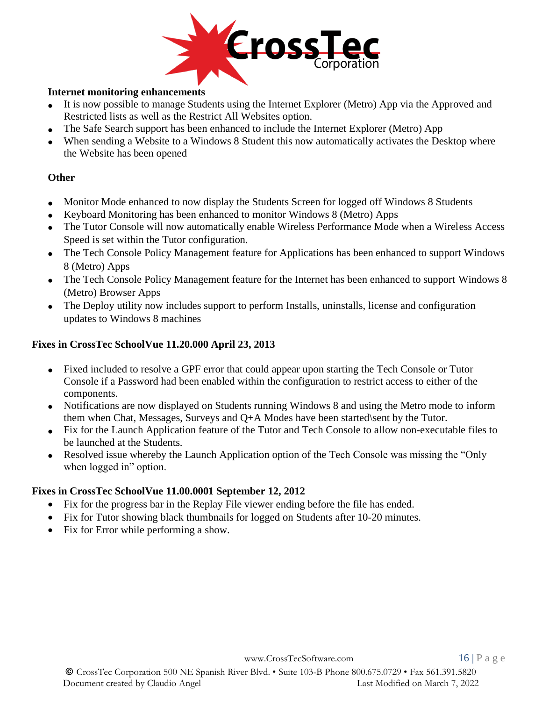

#### **Internet monitoring enhancements**

- It is now possible to manage Students using the Internet Explorer (Metro) App via the Approved and Restricted lists as well as the Restrict All Websites option.
- The Safe Search support has been enhanced to include the Internet Explorer (Metro) App
- When sending a Website to a Windows 8 Student this now automatically activates the Desktop where the Website has been opened

## **Other**

- Monitor Mode enhanced to now display the Students Screen for logged off Windows 8 Students
- Keyboard Monitoring has been enhanced to monitor Windows 8 (Metro) Apps
- The Tutor Console will now automatically enable Wireless Performance Mode when a Wireless Access Speed is set within the Tutor configuration.
- The Tech Console Policy Management feature for Applications has been enhanced to support Windows 8 (Metro) Apps
- The Tech Console Policy Management feature for the Internet has been enhanced to support Windows 8 (Metro) Browser Apps
- The Deploy utility now includes support to perform Installs, uninstalls, license and configuration updates to Windows 8 machines

## **Fixes in CrossTec SchoolVue 11.20.000 April 23, 2013**

- Fixed included to resolve a GPF error that could appear upon starting the Tech Console or Tutor Console if a Password had been enabled within the configuration to restrict access to either of the components.
- Notifications are now displayed on Students running Windows 8 and using the Metro mode to inform them when Chat, Messages, Surveys and Q+A Modes have been started\sent by the Tutor.
- Fix for the Launch Application feature of the Tutor and Tech Console to allow non-executable files to be launched at the Students.
- Resolved issue whereby the Launch Application option of the Tech Console was missing the "Only" when logged in" option.

#### **Fixes in CrossTec SchoolVue 11.00.0001 September 12, 2012**

- Fix for the progress bar in the Replay File viewer ending before the file has ended.
- Fix for Tutor showing black thumbnails for logged on Students after 10-20 minutes.
- Fix for Error while performing a show.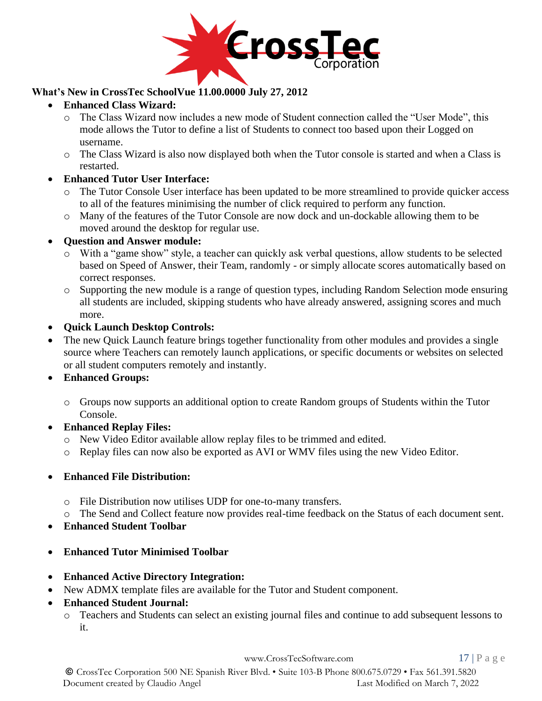

## **What's New in CrossTec SchoolVue 11.00.0000 July 27, 2012**

- **Enhanced Class Wizard:**
	- o The Class Wizard now includes a new mode of Student connection called the "User Mode", this mode allows the Tutor to define a list of Students to connect too based upon their Logged on username.
	- o The Class Wizard is also now displayed both when the Tutor console is started and when a Class is restarted.
- **Enhanced Tutor User Interface:**
	- o The Tutor Console User interface has been updated to be more streamlined to provide quicker access to all of the features minimising the number of click required to perform any function.
	- o Many of the features of the Tutor Console are now dock and un-dockable allowing them to be moved around the desktop for regular use.
- **Question and Answer module:**
	- o With a "game show" style, a teacher can quickly ask verbal questions, allow students to be selected based on Speed of Answer, their Team, randomly - or simply allocate scores automatically based on correct responses.
	- o Supporting the new module is a range of question types, including Random Selection mode ensuring all students are included, skipping students who have already answered, assigning scores and much more.
- **Quick Launch Desktop Controls:**
- The new Quick Launch feature brings together functionality from other modules and provides a single source where Teachers can remotely launch applications, or specific documents or websites on selected or all student computers remotely and instantly.
- **Enhanced Groups:**
	- o Groups now supports an additional option to create Random groups of Students within the Tutor Console.
- **Enhanced Replay Files:** 
	- o New Video Editor available allow replay files to be trimmed and edited.
	- o Replay files can now also be exported as AVI or WMV files using the new Video Editor.

#### • **Enhanced File Distribution:**

- o File Distribution now utilises UDP for one-to-many transfers.
- o The Send and Collect feature now provides real-time feedback on the Status of each document sent.
- **Enhanced Student Toolbar**
- **Enhanced Tutor Minimised Toolbar**
- **Enhanced Active Directory Integration:**
- New ADMX template files are available for the Tutor and Student component.
- **Enhanced Student Journal:**
	- o Teachers and Students can select an existing journal files and continue to add subsequent lessons to it.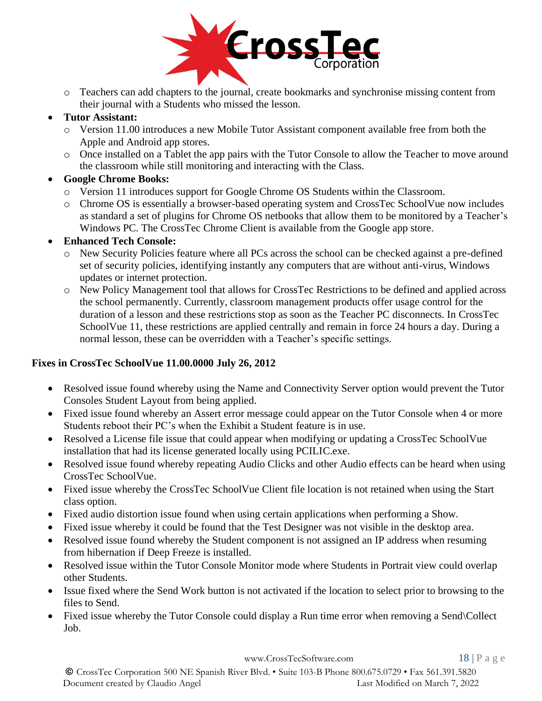

- o Teachers can add chapters to the journal, create bookmarks and synchronise missing content from their journal with a Students who missed the lesson.
- **Tutor Assistant:**
	- o Version 11.00 introduces a new Mobile Tutor Assistant component available free from both the Apple and Android app stores.
	- o Once installed on a Tablet the app pairs with the Tutor Console to allow the Teacher to move around the classroom while still monitoring and interacting with the Class.
- **Google Chrome Books:**
	- o Version 11 introduces support for Google Chrome OS Students within the Classroom.
	- o Chrome OS is essentially a browser-based operating system and CrossTec SchoolVue now includes as standard a set of plugins for Chrome OS netbooks that allow them to be monitored by a Teacher's Windows PC. The CrossTec Chrome Client is available from the Google app store.

## • **Enhanced Tech Console:**

- o New Security Policies feature where all PCs across the school can be checked against a pre-defined set of security policies, identifying instantly any computers that are without anti-virus, Windows updates or internet protection.
- o New Policy Management tool that allows for CrossTec Restrictions to be defined and applied across the school permanently. Currently, classroom management products offer usage control for the duration of a lesson and these restrictions stop as soon as the Teacher PC disconnects. In CrossTec SchoolVue 11, these restrictions are applied centrally and remain in force 24 hours a day. During a normal lesson, these can be overridden with a Teacher's specific settings.

#### **Fixes in CrossTec SchoolVue 11.00.0000 July 26, 2012**

- Resolved issue found whereby using the Name and Connectivity Server option would prevent the Tutor Consoles Student Layout from being applied.
- Fixed issue found whereby an Assert error message could appear on the Tutor Console when 4 or more Students reboot their PC's when the Exhibit a Student feature is in use.
- Resolved a License file issue that could appear when modifying or updating a CrossTec SchoolVue installation that had its license generated locally using PCILIC.exe.
- Resolved issue found whereby repeating Audio Clicks and other Audio effects can be heard when using CrossTec SchoolVue.
- Fixed issue whereby the CrossTec SchoolVue Client file location is not retained when using the Start class option.
- Fixed audio distortion issue found when using certain applications when performing a Show.
- Fixed issue whereby it could be found that the Test Designer was not visible in the desktop area.
- Resolved issue found whereby the Student component is not assigned an IP address when resuming from hibernation if Deep Freeze is installed.
- Resolved issue within the Tutor Console Monitor mode where Students in Portrait view could overlap other Students.
- Issue fixed where the Send Work button is not activated if the location to select prior to browsing to the files to Send.
- Fixed issue whereby the Tutor Console could display a Run time error when removing a Send\Collect Job.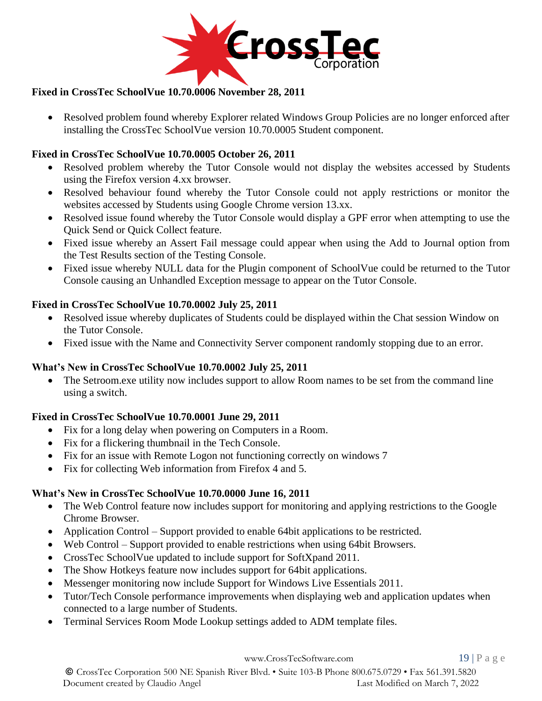

## **Fixed in CrossTec SchoolVue 10.70.0006 November 28, 2011**

• Resolved problem found whereby Explorer related Windows Group Policies are no longer enforced after installing the CrossTec SchoolVue version 10.70.0005 Student component.

## **Fixed in CrossTec SchoolVue 10.70.0005 October 26, 2011**

- Resolved problem whereby the Tutor Console would not display the websites accessed by Students using the Firefox version 4.xx browser.
- Resolved behaviour found whereby the Tutor Console could not apply restrictions or monitor the websites accessed by Students using Google Chrome version 13.xx.
- Resolved issue found whereby the Tutor Console would display a GPF error when attempting to use the Quick Send or Quick Collect feature.
- Fixed issue whereby an Assert Fail message could appear when using the Add to Journal option from the Test Results section of the Testing Console.
- Fixed issue whereby NULL data for the Plugin component of SchoolVue could be returned to the Tutor Console causing an Unhandled Exception message to appear on the Tutor Console.

## **Fixed in CrossTec SchoolVue 10.70.0002 July 25, 2011**

- Resolved issue whereby duplicates of Students could be displayed within the Chat session Window on the Tutor Console.
- Fixed issue with the Name and Connectivity Server component randomly stopping due to an error.

## **What's New in CrossTec SchoolVue 10.70.0002 July 25, 2011**

• The Setroom.exe utility now includes support to allow Room names to be set from the command line using a switch.

## **Fixed in CrossTec SchoolVue 10.70.0001 June 29, 2011**

- Fix for a long delay when powering on Computers in a Room.
- Fix for a flickering thumbnail in the Tech Console.
- Fix for an issue with Remote Logon not functioning correctly on windows 7
- Fix for collecting Web information from Firefox 4 and 5.

## **What's New in CrossTec SchoolVue 10.70.0000 June 16, 2011**

- The Web Control feature now includes support for monitoring and applying restrictions to the Google Chrome Browser.
- Application Control Support provided to enable 64bit applications to be restricted.
- Web Control Support provided to enable restrictions when using 64bit Browsers.
- CrossTec SchoolVue updated to include support for SoftXpand 2011.
- The Show Hotkeys feature now includes support for 64bit applications.
- Messenger monitoring now include Support for Windows Live Essentials 2011.
- Tutor/Tech Console performance improvements when displaying web and application updates when connected to a large number of Students.
- Terminal Services Room Mode Lookup settings added to ADM template files.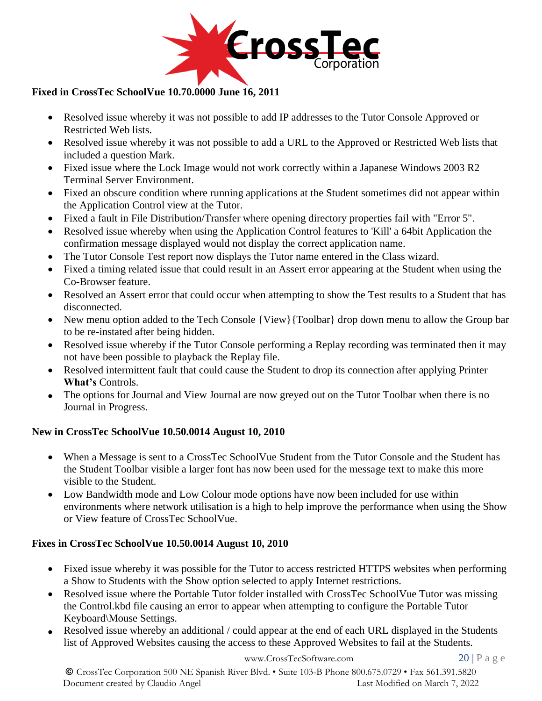

## **Fixed in CrossTec SchoolVue 10.70.0000 June 16, 2011**

- Resolved issue whereby it was not possible to add IP addresses to the Tutor Console Approved or Restricted Web lists.
- Resolved issue whereby it was not possible to add a URL to the Approved or Restricted Web lists that included a question Mark.
- Fixed issue where the Lock Image would not work correctly within a Japanese Windows 2003 R2 Terminal Server Environment.
- Fixed an obscure condition where running applications at the Student sometimes did not appear within the Application Control view at the Tutor.
- Fixed a fault in File Distribution/Transfer where opening directory properties fail with "Error 5".
- Resolved issue whereby when using the Application Control features to 'Kill' a 64bit Application the confirmation message displayed would not display the correct application name.
- The Tutor Console Test report now displays the Tutor name entered in the Class wizard.
- Fixed a timing related issue that could result in an Assert error appearing at the Student when using the Co-Browser feature.
- Resolved an Assert error that could occur when attempting to show the Test results to a Student that has disconnected.
- New menu option added to the Tech Console {View}{Toolbar} drop down menu to allow the Group bar to be re-instated after being hidden.
- Resolved issue whereby if the Tutor Console performing a Replay recording was terminated then it may not have been possible to playback the Replay file.
- Resolved intermittent fault that could cause the Student to drop its connection after applying Printer **What's** Controls.
- The options for Journal and View Journal are now greyed out on the Tutor Toolbar when there is no Journal in Progress.

## **New in CrossTec SchoolVue 10.50.0014 August 10, 2010**

- When a Message is sent to a CrossTec SchoolVue Student from the Tutor Console and the Student has the Student Toolbar visible a larger font has now been used for the message text to make this more visible to the Student.
- Low Bandwidth mode and Low Colour mode options have now been included for use within environments where network utilisation is a high to help improve the performance when using the Show or View feature of CrossTec SchoolVue.

#### **Fixes in CrossTec SchoolVue 10.50.0014 August 10, 2010**

- Fixed issue whereby it was possible for the Tutor to access restricted HTTPS websites when performing a Show to Students with the Show option selected to apply Internet restrictions.
- Resolved issue where the Portable Tutor folder installed with CrossTec SchoolVue Tutor was missing the Control.kbd file causing an error to appear when attempting to configure the Portable Tutor Keyboard\Mouse Settings.
- Resolved issue whereby an additional / could appear at the end of each URL displayed in the Students list of Approved Websites causing the access to these Approved Websites to fail at the Students.

© CrossTec Corporation 500 NE Spanish River Blvd. • Suite 103-B Phone 800.675.0729 • Fax 561.391.5820 Document created by Claudio Angel Last Modified on March 7, 2022

[www.CrossTecSoftware.com](http://www.crosstecsoftware.com/) 20 | P a g e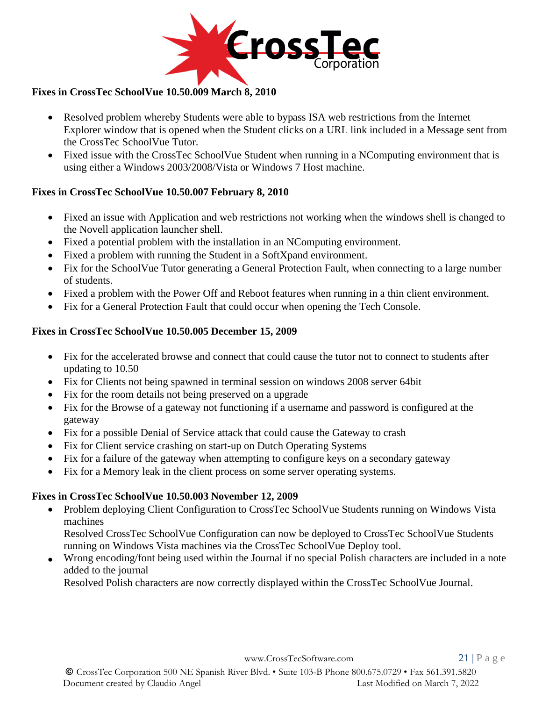

## **Fixes in CrossTec SchoolVue 10.50.009 March 8, 2010**

- Resolved problem whereby Students were able to bypass ISA web restrictions from the Internet Explorer window that is opened when the Student clicks on a URL link included in a Message sent from the CrossTec SchoolVue Tutor.
- Fixed issue with the CrossTec SchoolVue Student when running in a NComputing environment that is using either a Windows 2003/2008/Vista or Windows 7 Host machine.

#### **Fixes in CrossTec SchoolVue 10.50.007 February 8, 2010**

- Fixed an issue with Application and web restrictions not working when the windows shell is changed to the Novell application launcher shell.
- Fixed a potential problem with the installation in an NComputing environment.
- Fixed a problem with running the Student in a SoftXpand environment.
- Fix for the SchoolVue Tutor generating a General Protection Fault, when connecting to a large number of students.
- Fixed a problem with the Power Off and Reboot features when running in a thin client environment.
- Fix for a General Protection Fault that could occur when opening the Tech Console.

## **Fixes in CrossTec SchoolVue 10.50.005 December 15, 2009**

- Fix for the accelerated browse and connect that could cause the tutor not to connect to students after updating to 10.50
- Fix for Clients not being spawned in terminal session on windows 2008 server 64bit
- Fix for the room details not being preserved on a upgrade
- Fix for the Browse of a gateway not functioning if a username and password is configured at the gateway
- Fix for a possible Denial of Service attack that could cause the Gateway to crash
- Fix for Client service crashing on start-up on Dutch Operating Systems
- Fix for a failure of the gateway when attempting to configure keys on a secondary gateway
- Fix for a Memory leak in the client process on some server operating systems.

## **Fixes in CrossTec SchoolVue 10.50.003 November 12, 2009**

• Problem deploying Client Configuration to CrossTec SchoolVue Students running on Windows Vista machines

Resolved CrossTec SchoolVue Configuration can now be deployed to CrossTec SchoolVue Students running on Windows Vista machines via the CrossTec SchoolVue Deploy tool.

• Wrong encoding/font being used within the Journal if no special Polish characters are included in a note added to the journal

Resolved Polish characters are now correctly displayed within the CrossTec SchoolVue Journal.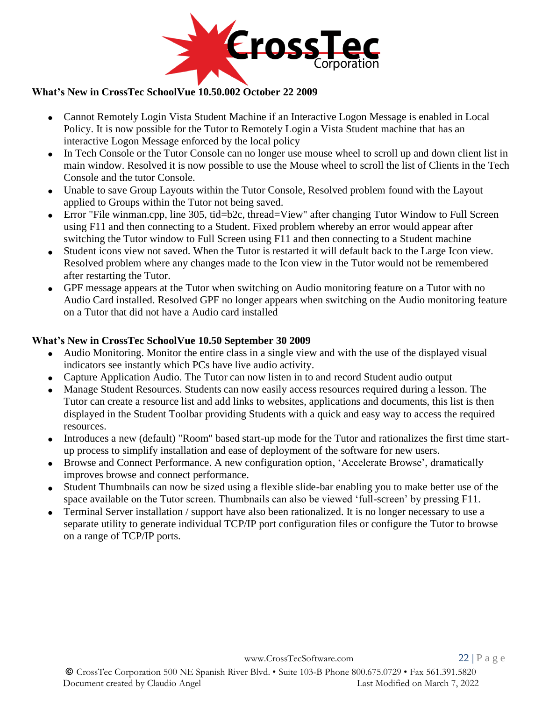

#### **What's New in CrossTec SchoolVue 10.50.002 October 22 2009**

- Cannot Remotely Login Vista Student Machine if an Interactive Logon Message is enabled in Local Policy. It is now possible for the Tutor to Remotely Login a Vista Student machine that has an interactive Logon Message enforced by the local policy
- In Tech Console or the Tutor Console can no longer use mouse wheel to scroll up and down client list in main window. Resolved it is now possible to use the Mouse wheel to scroll the list of Clients in the Tech Console and the tutor Console.
- Unable to save Group Layouts within the Tutor Console, Resolved problem found with the Layout applied to Groups within the Tutor not being saved.
- Error "File winman.cpp, line 305, tid=b2c, thread=View" after changing Tutor Window to Full Screen using F11 and then connecting to a Student. Fixed problem whereby an error would appear after switching the Tutor window to Full Screen using F11 and then connecting to a Student machine
- Student icons view not saved. When the Tutor is restarted it will default back to the Large Icon view. Resolved problem where any changes made to the Icon view in the Tutor would not be remembered after restarting the Tutor.
- GPF message appears at the Tutor when switching on Audio monitoring feature on a Tutor with no Audio Card installed. Resolved GPF no longer appears when switching on the Audio monitoring feature on a Tutor that did not have a Audio card installed

#### **What's New in CrossTec SchoolVue 10.50 September 30 2009**

- Audio Monitoring. Monitor the entire class in a single view and with the use of the displayed visual indicators see instantly which PCs have live audio activity.
- Capture Application Audio. The Tutor can now listen in to and record Student audio output
- Manage Student Resources. Students can now easily access resources required during a lesson. The Tutor can create a resource list and add links to websites, applications and documents, this list is then displayed in the Student Toolbar providing Students with a quick and easy way to access the required resources.
- Introduces a new (default) "Room" based start-up mode for the Tutor and rationalizes the first time startup process to simplify installation and ease of deployment of the software for new users.
- Browse and Connect Performance. A new configuration option, 'Accelerate Browse', dramatically improves browse and connect performance.
- Student Thumbnails can now be sized using a flexible slide-bar enabling you to make better use of the space available on the Tutor screen. Thumbnails can also be viewed 'full-screen' by pressing F11.
- Terminal Server installation / support have also been rationalized. It is no longer necessary to use a separate utility to generate individual TCP/IP port configuration files or configure the Tutor to browse on a range of TCP/IP ports.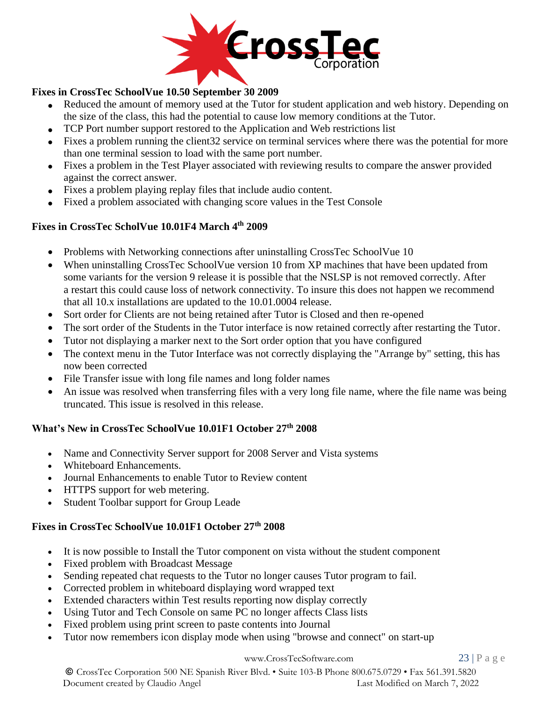

## **Fixes in CrossTec SchoolVue 10.50 September 30 2009**

- Reduced the amount of memory used at the Tutor for student application and web history. Depending on the size of the class, this had the potential to cause low memory conditions at the Tutor.
- TCP Port number support restored to the Application and Web restrictions list
- Fixes a problem running the client 32 service on terminal services where there was the potential for more than one terminal session to load with the same port number.
- Fixes a problem in the Test Player associated with reviewing results to compare the answer provided against the correct answer.
- Fixes a problem playing replay files that include audio content.
- Fixed a problem associated with changing score values in the Test Console

## **Fixes in CrossTec ScholVue 10.01F4 March 4th 2009**

- Problems with Networking connections after uninstalling CrossTec SchoolVue 10
- When uninstalling CrossTec SchoolVue version 10 from XP machines that have been updated from some variants for the version 9 release it is possible that the NSLSP is not removed correctly. After a restart this could cause loss of network connectivity. To insure this does not happen we recommend that all 10.x installations are updated to the 10.01.0004 release.
- Sort order for Clients are not being retained after Tutor is Closed and then re-opened
- The sort order of the Students in the Tutor interface is now retained correctly after restarting the Tutor.
- Tutor not displaying a marker next to the Sort order option that you have configured
- The context menu in the Tutor Interface was not correctly displaying the "Arrange by" setting, this has now been corrected
- File Transfer issue with long file names and long folder names
- An issue was resolved when transferring files with a very long file name, where the file name was being truncated. This issue is resolved in this release.

## **What's New in CrossTec SchoolVue 10.01F1 October 27th 2008**

- Name and Connectivity Server support for 2008 Server and Vista systems
- Whiteboard Enhancements.
- Journal Enhancements to enable Tutor to Review content
- HTTPS support for web metering.
- Student Toolbar support for Group Leade

#### **Fixes in CrossTec SchoolVue 10.01F1 October 27th 2008**

- It is now possible to Install the Tutor component on vista without the student component
- Fixed problem with Broadcast Message
- Sending repeated chat requests to the Tutor no longer causes Tutor program to fail.
- Corrected problem in whiteboard displaying word wrapped text
- Extended characters within Test results reporting now display correctly
- Using Tutor and Tech Console on same PC no longer affects Class lists
- Fixed problem using print screen to paste contents into Journal
- Tutor now remembers icon display mode when using "browse and connect" on start-up

#### [www.CrossTecSoftware.com](http://www.crosstecsoftware.com/) 23 | P a g e

© CrossTec Corporation 500 NE Spanish River Blvd. • Suite 103-B Phone 800.675.0729 • Fax 561.391.5820 Document created by Claudio Angel Last Modified on March 7, 2022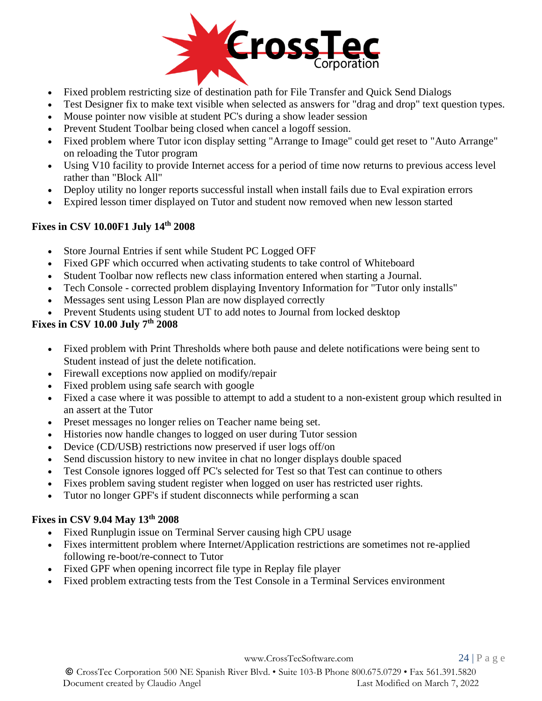

- Fixed problem restricting size of destination path for File Transfer and Quick Send Dialogs
- Test Designer fix to make text visible when selected as answers for "drag and drop" text question types.
- Mouse pointer now visible at student PC's during a show leader session
- Prevent Student Toolbar being closed when cancel a logoff session.
- Fixed problem where Tutor icon display setting "Arrange to Image" could get reset to "Auto Arrange" on reloading the Tutor program
- Using V10 facility to provide Internet access for a period of time now returns to previous access level rather than "Block All"
- Deploy utility no longer reports successful install when install fails due to Eval expiration errors
- Expired lesson timer displayed on Tutor and student now removed when new lesson started

## **Fixes in CSV 10.00F1 July 14th 2008**

- Store Journal Entries if sent while Student PC Logged OFF
- Fixed GPF which occurred when activating students to take control of Whiteboard
- Student Toolbar now reflects new class information entered when starting a Journal.
- Tech Console corrected problem displaying Inventory Information for "Tutor only installs"
- Messages sent using Lesson Plan are now displayed correctly
- Prevent Students using student UT to add notes to Journal from locked desktop

## **Fixes in CSV 10.00 July 7th 2008**

- Fixed problem with Print Thresholds where both pause and delete notifications were being sent to Student instead of just the delete notification.
- Firewall exceptions now applied on modify/repair
- Fixed problem using safe search with google
- Fixed a case where it was possible to attempt to add a student to a non-existent group which resulted in an assert at the Tutor
- Preset messages no longer relies on Teacher name being set.
- Histories now handle changes to logged on user during Tutor session
- Device (CD/USB) restrictions now preserved if user logs off/on
- Send discussion history to new invitee in chat no longer displays double spaced
- Test Console ignores logged off PC's selected for Test so that Test can continue to others
- Fixes problem saving student register when logged on user has restricted user rights.
- Tutor no longer GPF's if student disconnects while performing a scan

## **Fixes in CSV 9.04 May 13th 2008**

- Fixed Runplugin issue on Terminal Server causing high CPU usage
- Fixes intermittent problem where Internet/Application restrictions are sometimes not re-applied following re-boot/re-connect to Tutor
- Fixed GPF when opening incorrect file type in Replay file player
- Fixed problem extracting tests from the Test Console in a Terminal Services environment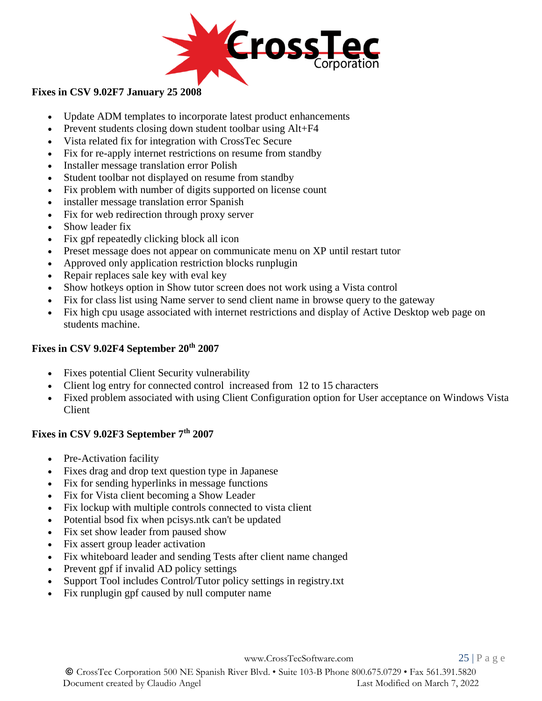

#### **Fixes in CSV 9.02F7 January 25 2008**

- Update ADM templates to incorporate latest product enhancements
- Prevent students closing down student toolbar using Alt+F4
- Vista related fix for integration with CrossTec Secure
- Fix for re-apply internet restrictions on resume from standby
- Installer message translation error Polish
- Student toolbar not displayed on resume from standby
- Fix problem with number of digits supported on license count
- installer message translation error Spanish
- Fix for web redirection through proxy server
- Show leader fix
- Fix gpf repeatedly clicking block all icon
- Preset message does not appear on communicate menu on XP until restart tutor
- Approved only application restriction blocks runplugin
- Repair replaces sale key with eval key
- Show hotkeys option in Show tutor screen does not work using a Vista control
- Fix for class list using Name server to send client name in browse query to the gateway
- Fix high cpu usage associated with internet restrictions and display of Active Desktop web page on students machine.

# **Fixes in CSV 9.02F4 September 20th 2007**

- Fixes potential Client Security vulnerability
- Client log entry for connected control increased from 12 to 15 characters
- Fixed problem associated with using Client Configuration option for User acceptance on Windows Vista Client

# **Fixes in CSV 9.02F3 September 7th 2007**

- Pre-Activation facility
- Fixes drag and drop text question type in Japanese
- Fix for sending hyperlinks in message functions
- Fix for Vista client becoming a Show Leader
- Fix lockup with multiple controls connected to vista client
- Potential bsod fix when pcisys.ntk can't be updated
- Fix set show leader from paused show
- Fix assert group leader activation
- Fix whiteboard leader and sending Tests after client name changed
- Prevent gpf if invalid AD policy settings
- Support Tool includes Control/Tutor policy settings in registry.txt
- Fix runplugin gpf caused by null computer name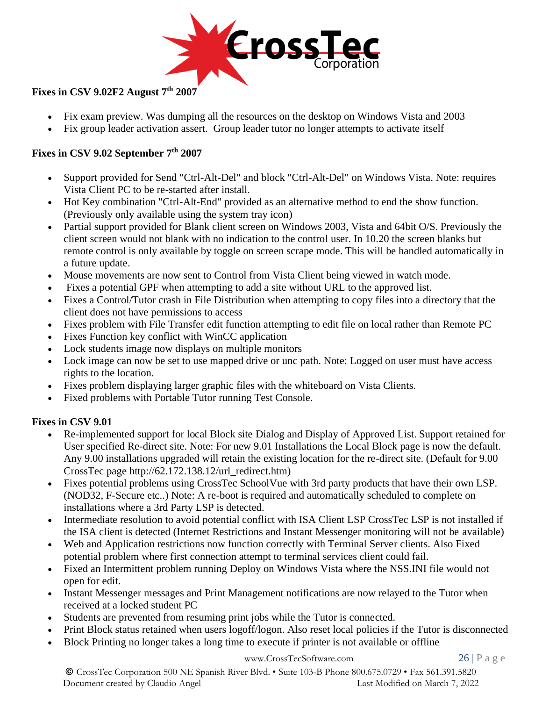

## **Fixes in CSV 9.02F2 August 7th 2007**

- Fix exam preview. Was dumping all the resources on the desktop on Windows Vista and 2003
- Fix group leader activation assert. Group leader tutor no longer attempts to activate itself

#### **Fixes in CSV 9.02 September 7th 2007**

- Support provided for Send "Ctrl-Alt-Del" and block "Ctrl-Alt-Del" on Windows Vista. Note: requires Vista Client PC to be re-started after install.
- Hot Key combination "Ctrl-Alt-End" provided as an alternative method to end the show function. (Previously only available using the system tray icon)
- Partial support provided for Blank client screen on Windows 2003, Vista and 64bit O/S. Previously the client screen would not blank with no indication to the control user. In 10.20 the screen blanks but remote control is only available by toggle on screen scrape mode. This will be handled automatically in a future update.
- Mouse movements are now sent to Control from Vista Client being viewed in watch mode.
- Fixes a potential GPF when attempting to add a site without URL to the approved list.
- Fixes a Control/Tutor crash in File Distribution when attempting to copy files into a directory that the client does not have permissions to access
- Fixes problem with File Transfer edit function attempting to edit file on local rather than Remote PC
- Fixes Function key conflict with WinCC application
- Lock students image now displays on multiple monitors
- Lock image can now be set to use mapped drive or unc path. Note: Logged on user must have access rights to the location.
- Fixes problem displaying larger graphic files with the whiteboard on Vista Clients.
- Fixed problems with Portable Tutor running Test Console.

## **Fixes in CSV 9.01**

- Re-implemented support for local Block site Dialog and Display of Approved List. Support retained for User specified Re-direct site. Note: For new 9.01 Installations the Local Block page is now the default. Any 9.00 installations upgraded will retain the existing location for the re-direct site. (Default for 9.00 CrossTec page http://62.172.138.12/url\_redirect.htm)
- Fixes potential problems using CrossTec SchoolVue with 3rd party products that have their own LSP. (NOD32, F-Secure etc..) Note: A re-boot is required and automatically scheduled to complete on installations where a 3rd Party LSP is detected.
- Intermediate resolution to avoid potential conflict with ISA Client LSP CrossTec LSP is not installed if the ISA client is detected (Internet Restrictions and Instant Messenger monitoring will not be available)
- Web and Application restrictions now function correctly with Terminal Server clients. Also Fixed potential problem where first connection attempt to terminal services client could fail.
- Fixed an Intermittent problem running Deploy on Windows Vista where the NSS.INI file would not open for edit.
- Instant Messenger messages and Print Management notifications are now relayed to the Tutor when received at a locked student PC
- Students are prevented from resuming print jobs while the Tutor is connected.
- Print Block status retained when users logoff/logon. Also reset local policies if the Tutor is disconnected
- Block Printing no longer takes a long time to execute if printer is not available or offline

#### [www.CrossTecSoftware.com](http://www.crosstecsoftware.com/) 26 | P a g e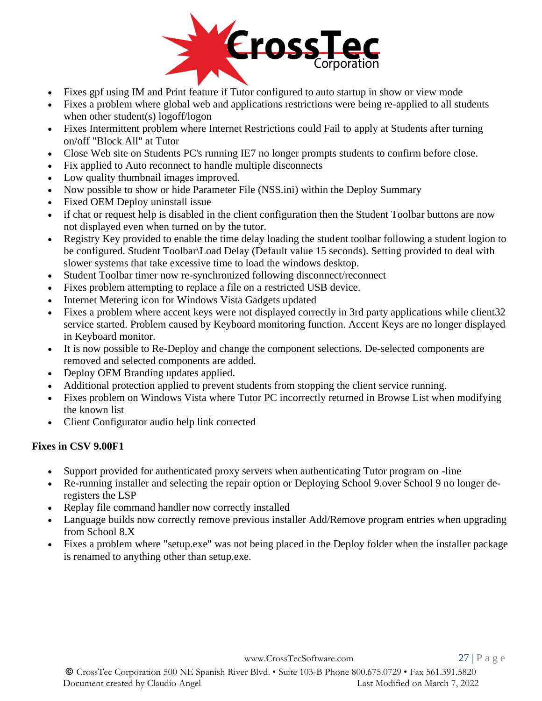

- Fixes gpf using IM and Print feature if Tutor configured to auto startup in show or view mode
- Fixes a problem where global web and applications restrictions were being re-applied to all students when other student(s) logoff/logon
- Fixes Intermittent problem where Internet Restrictions could Fail to apply at Students after turning on/off "Block All" at Tutor
- Close Web site on Students PC's running IE7 no longer prompts students to confirm before close.
- Fix applied to Auto reconnect to handle multiple disconnects
- Low quality thumbnail images improved.
- Now possible to show or hide Parameter File (NSS.ini) within the Deploy Summary
- Fixed OEM Deploy uninstall issue
- if chat or request help is disabled in the client configuration then the Student Toolbar buttons are now not displayed even when turned on by the tutor.
- Registry Key provided to enable the time delay loading the student toolbar following a student logion to be configured. Student Toolbar\Load Delay (Default value 15 seconds). Setting provided to deal with slower systems that take excessive time to load the windows desktop.
- Student Toolbar timer now re-synchronized following disconnect/reconnect
- Fixes problem attempting to replace a file on a restricted USB device.
- Internet Metering icon for Windows Vista Gadgets updated
- Fixes a problem where accent keys were not displayed correctly in 3rd party applications while client 32 service started. Problem caused by Keyboard monitoring function. Accent Keys are no longer displayed in Keyboard monitor.
- It is now possible to Re-Deploy and change the component selections. De-selected components are removed and selected components are added.
- Deploy OEM Branding updates applied.
- Additional protection applied to prevent students from stopping the client service running.
- Fixes problem on Windows Vista where Tutor PC incorrectly returned in Browse List when modifying the known list
- Client Configurator audio help link corrected

#### **Fixes in CSV 9.00F1**

- Support provided for authenticated proxy servers when authenticating Tutor program on -line
- Re-running installer and selecting the repair option or Deploying School 9.over School 9 no longer deregisters the LSP
- Replay file command handler now correctly installed
- Language builds now correctly remove previous installer Add/Remove program entries when upgrading from School 8.X
- Fixes a problem where "setup.exe" was not being placed in the Deploy folder when the installer package is renamed to anything other than setup.exe.